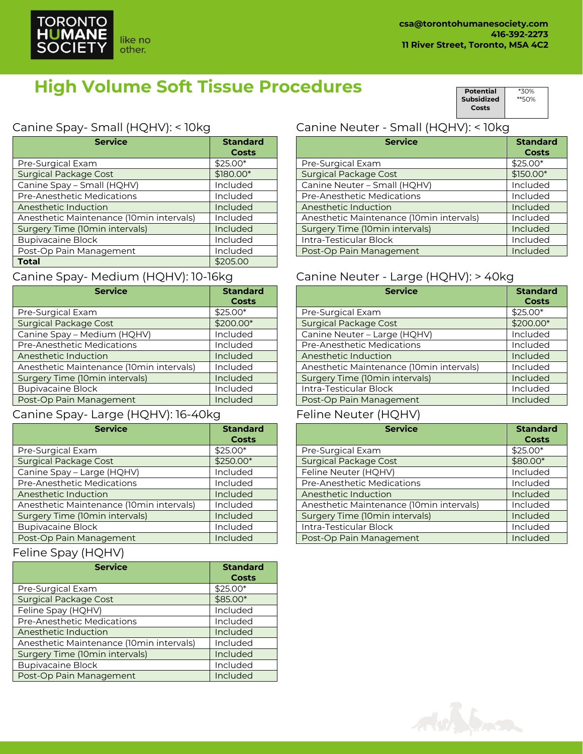# **High Volume Soft Tissue Procedures**

**Subsidized Costs** \*\*50%

\*30%

**Potential** 

## Canine Spay- Small (HQHV): < 10kg

| <b>Service</b>                           | <b>Standard</b> |
|------------------------------------------|-----------------|
|                                          | Costs           |
| Pre-Surgical Exam                        | \$25.00*        |
| <b>Surgical Package Cost</b>             | \$180.00*       |
| Canine Spay - Small (HQHV)               | Included        |
| Pre-Anesthetic Medications               | Included        |
| Anesthetic Induction                     | Included        |
| Anesthetic Maintenance (10min intervals) | Included        |
| Surgery Time (10min intervals)           | Included        |
| <b>Bupivacaine Block</b>                 | Included        |
| Post-Op Pain Management                  | Included        |
| <b>Total</b>                             | \$205.00        |

## Canine Spay- Medium (HQHV): 10-16kg

| <b>Service</b>                           | <b>Standard</b><br><b>Costs</b> |
|------------------------------------------|---------------------------------|
| Pre-Surgical Exam                        | $$25.00*$                       |
| <b>Surgical Package Cost</b>             | \$200.00*                       |
| Canine Spay - Medium (HQHV)              | Included                        |
| <b>Pre-Anesthetic Medications</b>        | Included                        |
| Anesthetic Induction                     | Included                        |
| Anesthetic Maintenance (10min intervals) | Included                        |
| Surgery Time (10min intervals)           | Included                        |
| <b>Bupivacaine Block</b>                 | Included                        |
| Post-Op Pain Management                  | Included                        |

# Canine Spay- Large (HQHV): 16-40kg

| <b>Service</b>                           | <b>Standard</b><br><b>Costs</b> |
|------------------------------------------|---------------------------------|
| Pre-Surgical Exam                        | $$25.00*$                       |
| <b>Surgical Package Cost</b>             | \$250.00*                       |
| Canine Spay - Large (HQHV)               | Included                        |
| <b>Pre-Anesthetic Medications</b>        | Included                        |
| Anesthetic Induction                     | Included                        |
| Anesthetic Maintenance (10min intervals) | Included                        |
| Surgery Time (10min intervals)           | Included                        |
| <b>Bupivacaine Block</b>                 | Included                        |
| Post-Op Pain Management                  | Included                        |

## Feline Spay (HQHV)

| <b>Service</b>                           | <b>Standard</b><br>Costs |
|------------------------------------------|--------------------------|
| Pre-Surgical Exam                        | $$25.00*$                |
| <b>Surgical Package Cost</b>             | \$85.00*                 |
| Feline Spay (HQHV)                       | Included                 |
| Pre-Anesthetic Medications               | Included                 |
| Anesthetic Induction                     | Included                 |
| Anesthetic Maintenance (10min intervals) | Included                 |
| Surgery Time (10min intervals)           | Included                 |
| <b>Bupivacaine Block</b>                 | Included                 |
| Post-Op Pain Management                  | Included                 |

# Canine Neuter - Small (HQHV): < 10kg

| <b>Service</b>                           | <b>Standard</b><br><b>Costs</b> |
|------------------------------------------|---------------------------------|
| Pre-Surgical Exam                        | $$25.00*$                       |
| <b>Surgical Package Cost</b>             | $$150.00*$                      |
| Canine Neuter - Small (HQHV)             | Included                        |
| <b>Pre-Anesthetic Medications</b>        | Included                        |
| Anesthetic Induction                     | Included                        |
| Anesthetic Maintenance (10min intervals) | Included                        |
| Surgery Time (10min intervals)           | Included                        |
| Intra-Testicular Block                   | Included                        |
| Post-Op Pain Management                  | Included                        |

## Canine Neuter - Large (HQHV): > 40kg

| <b>Service</b>                           | <b>Standard</b><br><b>Costs</b> |
|------------------------------------------|---------------------------------|
| Pre-Surgical Exam                        | \$25.00*                        |
| <b>Surgical Package Cost</b>             | \$200.00*                       |
| Canine Neuter - Large (HQHV)             | Included                        |
| Pre-Anesthetic Medications               | Included                        |
| Anesthetic Induction                     | Included                        |
| Anesthetic Maintenance (10min intervals) | Included                        |
| Surgery Time (10min intervals)           | Included                        |
| Intra-Testicular Block                   | Included                        |
| Post-Op Pain Management                  | Included                        |

## Feline Neuter (HQHV)

| <b>Service</b>                           | <b>Standard</b><br>Costs |
|------------------------------------------|--------------------------|
| Pre-Surgical Exam                        | $$25.00*$                |
| <b>Surgical Package Cost</b>             | \$80.00*                 |
| Feline Neuter (HQHV)                     | Included                 |
| Pre-Anesthetic Medications               | Included                 |
| Anesthetic Induction                     | Included                 |
| Anesthetic Maintenance (10min intervals) | Included                 |
| <b>Surgery Time (10min intervals)</b>    | Included                 |
| Intra-Testicular Block                   | Included                 |
| Post-Op Pain Management                  | Included                 |



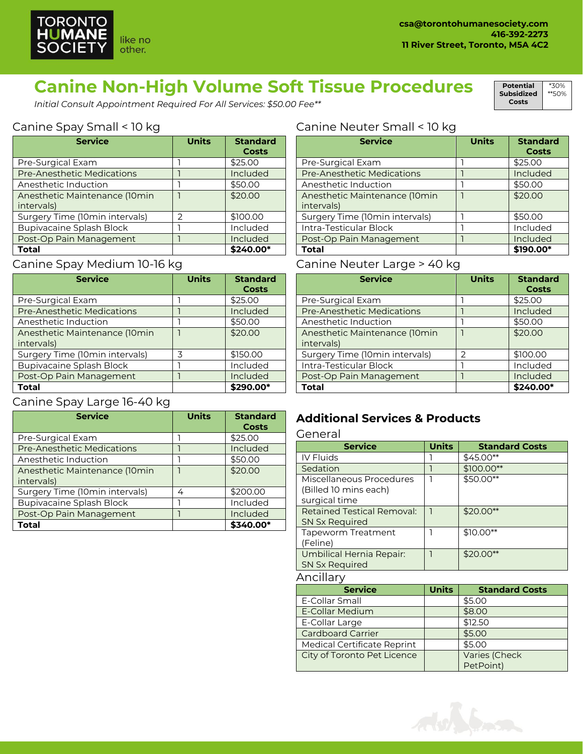

**Potential Subsidized Costs**

\*30% \*\*50%

# **Canine Non-High Volume Soft Tissue Procedures**

*Initial Consult Appointment Required For All Services: \$50.00 Fee\*\**

## Canine Spay Small < 10 kg

| <b>Service</b>                              | <b>Units</b>  | <b>Standard</b><br><b>Costs</b> |
|---------------------------------------------|---------------|---------------------------------|
| Pre-Surgical Exam                           |               | \$25.00                         |
| <b>Pre-Anesthetic Medications</b>           |               | Included                        |
| Anesthetic Induction                        |               | \$50.00                         |
| Anesthetic Maintenance (10min<br>intervals) |               | \$20.00                         |
| Surgery Time (10min intervals)              | $\mathcal{P}$ | \$100.00                        |
| Bupivacaine Splash Block                    |               | Included                        |
| Post-Op Pain Management                     |               | Included                        |
| Total                                       |               | \$240.00*                       |

#### Canine Spay Medium 10-16 kg

| <b>Service</b>                              | <b>Units</b> | <b>Standard</b><br><b>Costs</b> |
|---------------------------------------------|--------------|---------------------------------|
| Pre-Surgical Exam                           |              | \$25.00                         |
| Pre-Anesthetic Medications                  |              | Included                        |
| Anesthetic Induction                        |              | \$50.00                         |
| Anesthetic Maintenance (10min<br>intervals) |              | \$20.00                         |
| Surgery Time (10min intervals)              | 3            | \$150.00                        |
| Bupivacaine Splash Block                    |              | Included                        |
| Post-Op Pain Management                     |              | Included                        |
| Total                                       |              | \$290.00*                       |

## Canine Spay Large 16-40 kg

| <b>Service</b>                    | <b>Units</b> | <b>Standard</b> |
|-----------------------------------|--------------|-----------------|
|                                   |              | <b>Costs</b>    |
| Pre-Surgical Exam                 |              | \$25.00         |
| <b>Pre-Anesthetic Medications</b> |              | Included        |
| Anesthetic Induction              |              | \$50.00         |
| Anesthetic Maintenance (10min     |              | \$20.00         |
| intervals)                        |              |                 |
| Surgery Time (10min intervals)    | 4            | \$200.00        |
| <b>Bupivacaine Splash Block</b>   |              | Included        |
| Post-Op Pain Management           |              | Included        |
| Total                             |              | \$340.00*       |

#### Canine Neuter Small < 10 kg

| <b>Service</b>                               | <b>Units</b> | <b>Standard</b><br>Costs |
|----------------------------------------------|--------------|--------------------------|
| Pre-Surgical Exam                            |              | \$25.00                  |
| <b>Pre-Anesthetic Medications</b>            |              | Included                 |
| Anesthetic Induction                         |              | \$50.00                  |
| Anesthetic Maintenance (10min)<br>intervals) |              | \$20.00                  |
| Surgery Time (10min intervals)               |              | \$50.00                  |
| Intra-Testicular Block                       |              | Included                 |
| Post-Op Pain Management                      |              | Included                 |
| <b>Total</b>                                 |              | \$190.00*                |

#### Canine Neuter Large > 40 kg

| <b>Service</b>                    | <b>Units</b>  | <b>Standard</b><br><b>Costs</b> |
|-----------------------------------|---------------|---------------------------------|
| Pre-Surgical Exam                 |               | \$25.00                         |
| <b>Pre-Anesthetic Medications</b> |               | Included                        |
| Anesthetic Induction              |               | \$50.00                         |
| Anesthetic Maintenance (10min     |               | \$20.00                         |
| intervals)                        |               |                                 |
| Surgery Time (10min intervals)    | $\mathcal{P}$ | \$100.00                        |
| Intra-Testicular Block            |               | Included                        |
| Post-Op Pain Management           |               | Included                        |
| Total                             |               | \$240.00*                       |

## **Additional Services & Products**

| General                                                            |              |                            |  |  |
|--------------------------------------------------------------------|--------------|----------------------------|--|--|
| <b>Service</b>                                                     | <b>Units</b> | <b>Standard Costs</b>      |  |  |
| <b>IV Fluids</b>                                                   |              | \$45.00**                  |  |  |
| Sedation                                                           | 1            | \$100.00**                 |  |  |
| Miscellaneous Procedures<br>(Billed 10 mins each)<br>surgical time | ٦            | \$50.00**                  |  |  |
| Retained Testical Removal:<br>SN Sx Required                       | 1            | $$20.00**$                 |  |  |
| <b>Tapeworm Treatment</b><br>(Feline)                              | 1            | $$10.00**$                 |  |  |
| Umbilical Hernia Repair:<br><b>SN Sx Required</b>                  | 1            | $$20.00**$                 |  |  |
| Ancillary                                                          |              |                            |  |  |
| <b>Service</b>                                                     | <b>Units</b> | <b>Standard Costs</b>      |  |  |
| E-Collar Small                                                     |              | \$5.00                     |  |  |
| <b>E-Collar Medium</b>                                             |              | \$8.00                     |  |  |
| E-Collar Large                                                     |              | \$12.50                    |  |  |
| <b>Cardboard Carrier</b>                                           |              | \$5.00                     |  |  |
| Medical Certificate Reprint                                        |              | \$5.00                     |  |  |
| City of Toronto Pet Licence                                        |              | Varies (Check<br>PetPoint) |  |  |